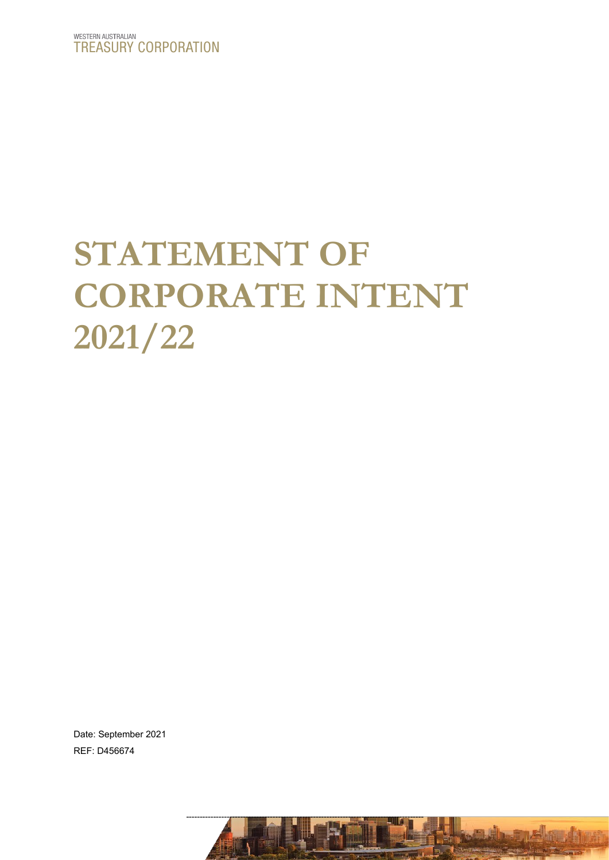# **STATEMENT OF CORPORATE INTENT 2021/22**

----------------------------------------------------------------------------------------

Date: September 2021 REF: D456674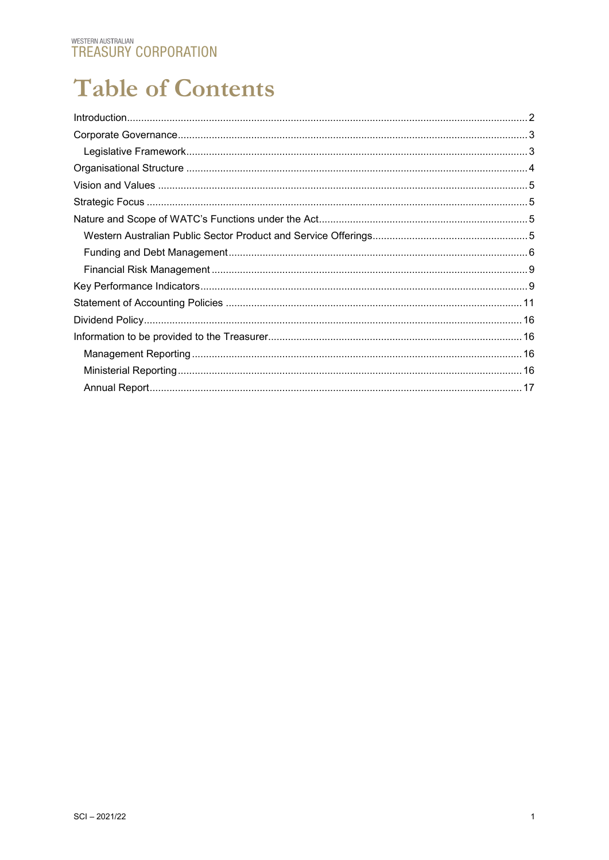# **Table of Contents**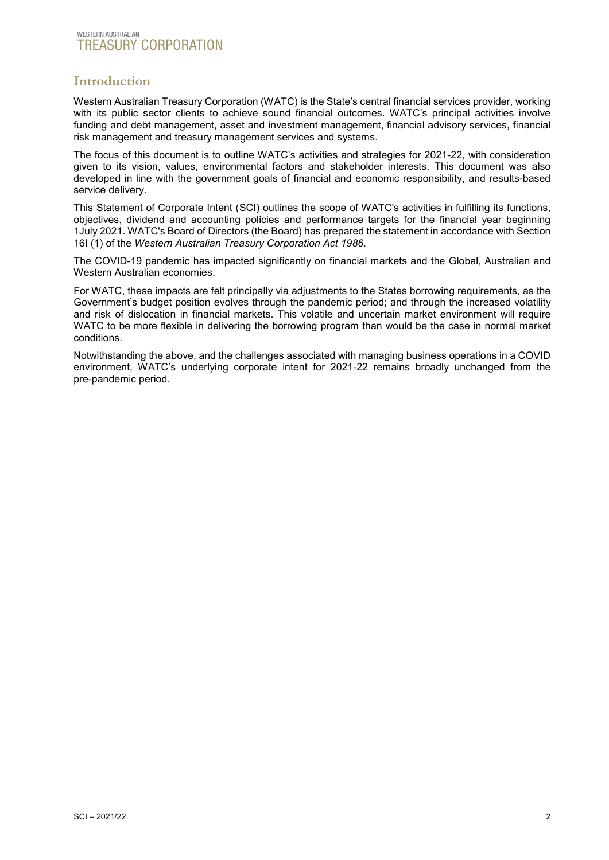# <span id="page-2-0"></span>**Introduction**

Western Australian Treasury Corporation (WATC) is the State's central financial services provider, working with its public sector clients to achieve sound financial outcomes. WATC's principal activities involve funding and debt management, asset and investment management, financial advisory services, financial risk management and treasury management services and systems.

The focus of this document is to outline WATC's activities and strategies for 2021-22, with consideration given to its vision, values, environmental factors and stakeholder interests. This document was also developed in line with the government goals of financial and economic responsibility, and results-based service delivery.

This Statement of Corporate Intent (SCI) outlines the scope of WATC's activities in fulfilling its functions, objectives, dividend and accounting policies and performance targets for the financial year beginning 1July 2021. WATC's Board of Directors (the Board) has prepared the statement in accordance with Section 16I (1) of the *Western Australian Treasury Corporation Act 1986*.

The COVID-19 pandemic has impacted significantly on financial markets and the Global, Australian and Western Australian economies.

For WATC, these impacts are felt principally via adjustments to the States borrowing requirements, as the Government's budget position evolves through the pandemic period; and through the increased volatility and risk of dislocation in financial markets. This volatile and uncertain market environment will require WATC to be more flexible in delivering the borrowing program than would be the case in normal market conditions.

Notwithstanding the above, and the challenges associated with managing business operations in a COVID environment, WATC's underlying corporate intent for 2021-22 remains broadly unchanged from the pre-pandemic period.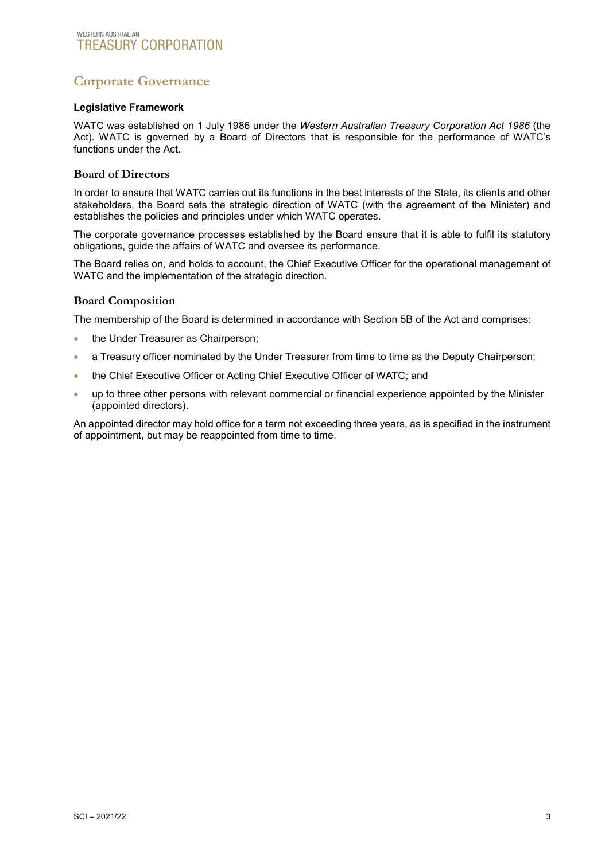# <span id="page-3-0"></span>**Corporate Governance**

#### <span id="page-3-1"></span>**Legislative Framework**

WATC was established on 1 July 1986 under the *Western Australian Treasury Corporation Act 1986* (the Act). WATC is governed by a Board of Directors that is responsible for the performance of WATC's functions under the Act.

#### **Board of Directors**

In order to ensure that WATC carries out its functions in the best interests of the State, its clients and other stakeholders, the Board sets the strategic direction of WATC (with the agreement of the Minister) and establishes the policies and principles under which WATC operates.

The corporate governance processes established by the Board ensure that it is able to fulfil its statutory obligations, guide the affairs of WATC and oversee its performance.

The Board relies on, and holds to account, the Chief Executive Officer for the operational management of WATC and the implementation of the strategic direction.

#### **Board Composition**

The membership of the Board is determined in accordance with Section 5B of the Act and comprises:

- the Under Treasurer as Chairperson:
- a Treasury officer nominated by the Under Treasurer from time to time as the Deputy Chairperson;
- the Chief Executive Officer or Acting Chief Executive Officer of WATC; and
- up to three other persons with relevant commercial or financial experience appointed by the Minister (appointed directors).

An appointed director may hold office for a term not exceeding three years, as is specified in the instrument of appointment, but may be reappointed from time to time.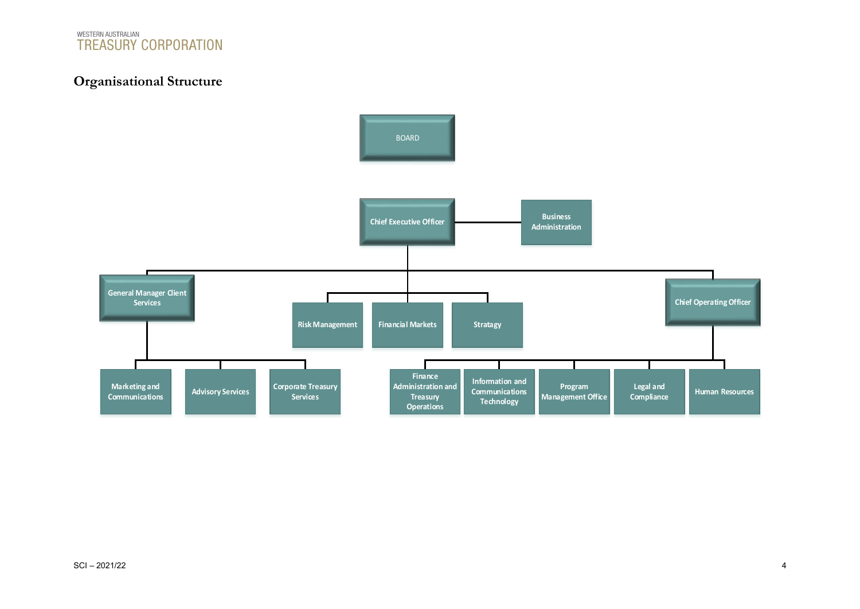

# **Organisational Structure**

<span id="page-4-0"></span>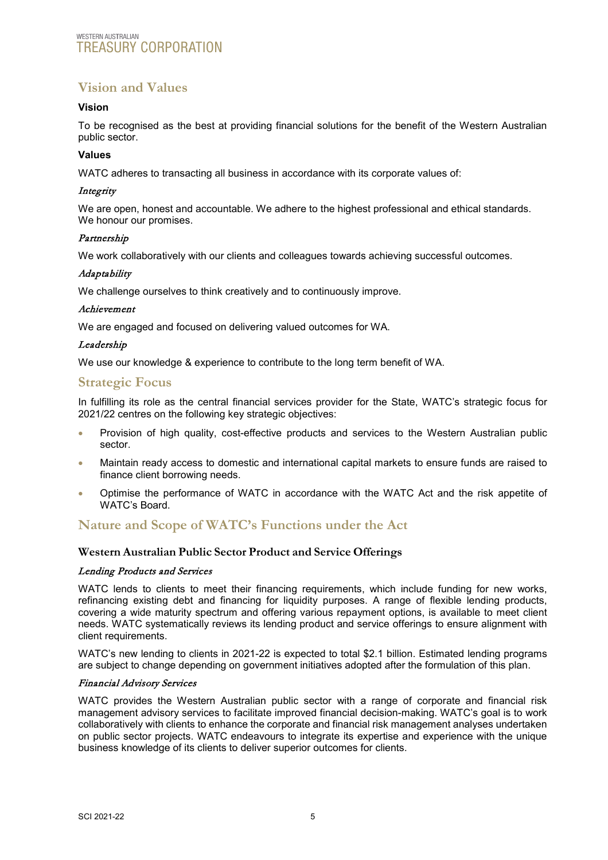# <span id="page-5-0"></span>**Vision and Values**

#### **Vision**

To be recognised as the best at providing financial solutions for the benefit of the Western Australian public sector.

#### **Values**

WATC adheres to transacting all business in accordance with its corporate values of:

#### **Integrity**

We are open, honest and accountable. We adhere to the highest professional and ethical standards. We honour our promises.

#### Partnership

We work collaboratively with our clients and colleagues towards achieving successful outcomes.

#### Adaptability

We challenge ourselves to think creatively and to continuously improve.

#### Achievement

We are engaged and focused on delivering valued outcomes for WA.

#### Leadership

We use our knowledge & experience to contribute to the long term benefit of WA.

# <span id="page-5-1"></span>**Strategic Focus**

In fulfilling its role as the central financial services provider for the State, WATC's strategic focus for 2021/22 centres on the following key strategic objectives:

- Provision of high quality, cost-effective products and services to the Western Australian public sector.
- Maintain ready access to domestic and international capital markets to ensure funds are raised to finance client borrowing needs.
- Optimise the performance of WATC in accordance with the WATC Act and the risk appetite of WATC's Board.

# <span id="page-5-2"></span>**Nature and Scope of WATC's Functions under the Act**

#### <span id="page-5-3"></span>**Western Australian Public Sector Product and Service Offerings**

#### Lending Products and Services

WATC lends to clients to meet their financing requirements, which include funding for new works, refinancing existing debt and financing for liquidity purposes. A range of flexible lending products, covering a wide maturity spectrum and offering various repayment options, is available to meet client needs. WATC systematically reviews its lending product and service offerings to ensure alignment with client requirements.

WATC's new lending to clients in 2021-22 is expected to total \$2.1 billion. Estimated lending programs are subject to change depending on government initiatives adopted after the formulation of this plan.

#### Financial Advisory Services

WATC provides the Western Australian public sector with a range of corporate and financial risk management advisory services to facilitate improved financial decision-making. WATC's goal is to work collaboratively with clients to enhance the corporate and financial risk management analyses undertaken on public sector projects. WATC endeavours to integrate its expertise and experience with the unique business knowledge of its clients to deliver superior outcomes for clients.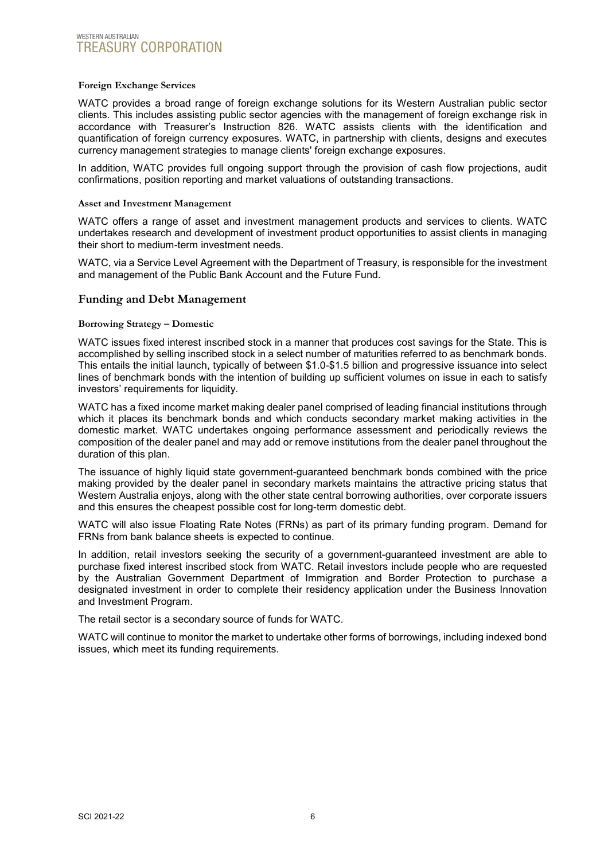#### **Foreign Exchange Services**

WATC provides a broad range of foreign exchange solutions for its Western Australian public sector clients. This includes assisting public sector agencies with the management of foreign exchange risk in accordance with Treasurer's Instruction 826. WATC assists clients with the identification and quantification of foreign currency exposures. WATC, in partnership with clients, designs and executes currency management strategies to manage clients' foreign exchange exposures.

In addition, WATC provides full ongoing support through the provision of cash flow projections, audit confirmations, position reporting and market valuations of outstanding transactions.

#### **Asset and Investment Management**

WATC offers a range of asset and investment management products and services to clients. WATC undertakes research and development of investment product opportunities to assist clients in managing their short to medium-term investment needs.

WATC, via a Service Level Agreement with the Department of Treasury, is responsible for the investment and management of the Public Bank Account and the Future Fund.

#### <span id="page-6-0"></span>**Funding and Debt Management**

#### **Borrowing Strategy – Domestic**

WATC issues fixed interest inscribed stock in a manner that produces cost savings for the State. This is accomplished by selling inscribed stock in a select number of maturities referred to as benchmark bonds. This entails the initial launch, typically of between \$1.0-\$1.5 billion and progressive issuance into select lines of benchmark bonds with the intention of building up sufficient volumes on issue in each to satisfy investors' requirements for liquidity.

WATC has a fixed income market making dealer panel comprised of leading financial institutions through which it places its benchmark bonds and which conducts secondary market making activities in the domestic market. WATC undertakes ongoing performance assessment and periodically reviews the composition of the dealer panel and may add or remove institutions from the dealer panel throughout the duration of this plan.

The issuance of highly liquid state government-guaranteed benchmark bonds combined with the price making provided by the dealer panel in secondary markets maintains the attractive pricing status that Western Australia enjoys, along with the other state central borrowing authorities, over corporate issuers and this ensures the cheapest possible cost for long-term domestic debt.

WATC will also issue Floating Rate Notes (FRNs) as part of its primary funding program. Demand for FRNs from bank balance sheets is expected to continue.

In addition, retail investors seeking the security of a government-guaranteed investment are able to purchase fixed interest inscribed stock from WATC. Retail investors include people who are requested by the Australian Government Department of Immigration and Border Protection to purchase a designated investment in order to complete their residency application under the Business Innovation and Investment Program.

The retail sector is a secondary source of funds for WATC.

WATC will continue to monitor the market to undertake other forms of borrowings, including indexed bond issues, which meet its funding requirements.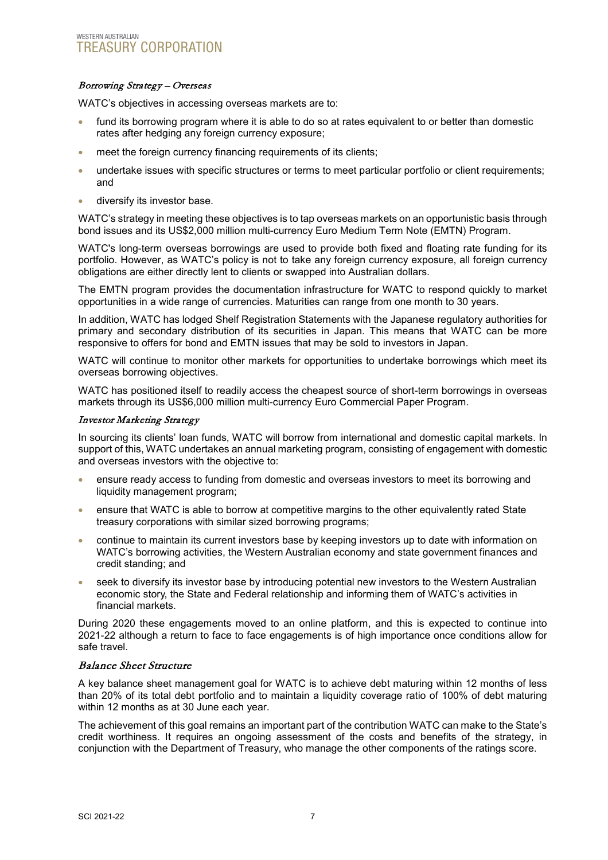#### Borrowing Strategy – Overseas

WATC's objectives in accessing overseas markets are to:

- fund its borrowing program where it is able to do so at rates equivalent to or better than domestic rates after hedging any foreign currency exposure;
- meet the foreign currency financing requirements of its clients;
- undertake issues with specific structures or terms to meet particular portfolio or client requirements; and
- diversify its investor base.

WATC's strategy in meeting these objectives is to tap overseas markets on an opportunistic basis through bond issues and its US\$2,000 million multi-currency Euro Medium Term Note (EMTN) Program.

WATC's long-term overseas borrowings are used to provide both fixed and floating rate funding for its portfolio. However, as WATC's policy is not to take any foreign currency exposure, all foreign currency obligations are either directly lent to clients or swapped into Australian dollars.

The EMTN program provides the documentation infrastructure for WATC to respond quickly to market opportunities in a wide range of currencies. Maturities can range from one month to 30 years.

In addition, WATC has lodged Shelf Registration Statements with the Japanese regulatory authorities for primary and secondary distribution of its securities in Japan. This means that WATC can be more responsive to offers for bond and EMTN issues that may be sold to investors in Japan.

WATC will continue to monitor other markets for opportunities to undertake borrowings which meet its overseas borrowing objectives.

WATC has positioned itself to readily access the cheapest source of short-term borrowings in overseas markets through its US\$6,000 million multi-currency Euro Commercial Paper Program.

#### Investor Marketing Strategy

In sourcing its clients' loan funds, WATC will borrow from international and domestic capital markets. In support of this, WATC undertakes an annual marketing program, consisting of engagement with domestic and overseas investors with the objective to:

- ensure ready access to funding from domestic and overseas investors to meet its borrowing and liquidity management program;
- ensure that WATC is able to borrow at competitive margins to the other equivalently rated State treasury corporations with similar sized borrowing programs;
- continue to maintain its current investors base by keeping investors up to date with information on WATC's borrowing activities, the Western Australian economy and state government finances and credit standing; and
- seek to diversify its investor base by introducing potential new investors to the Western Australian economic story, the State and Federal relationship and informing them of WATC's activities in financial markets.

During 2020 these engagements moved to an online platform, and this is expected to continue into 2021-22 although a return to face to face engagements is of high importance once conditions allow for safe travel.

#### Balance Sheet Structure

A key balance sheet management goal for WATC is to achieve debt maturing within 12 months of less than 20% of its total debt portfolio and to maintain a liquidity coverage ratio of 100% of debt maturing within 12 months as at 30 June each year.

The achievement of this goal remains an important part of the contribution WATC can make to the State's credit worthiness. It requires an ongoing assessment of the costs and benefits of the strategy, in conjunction with the Department of Treasury, who manage the other components of the ratings score.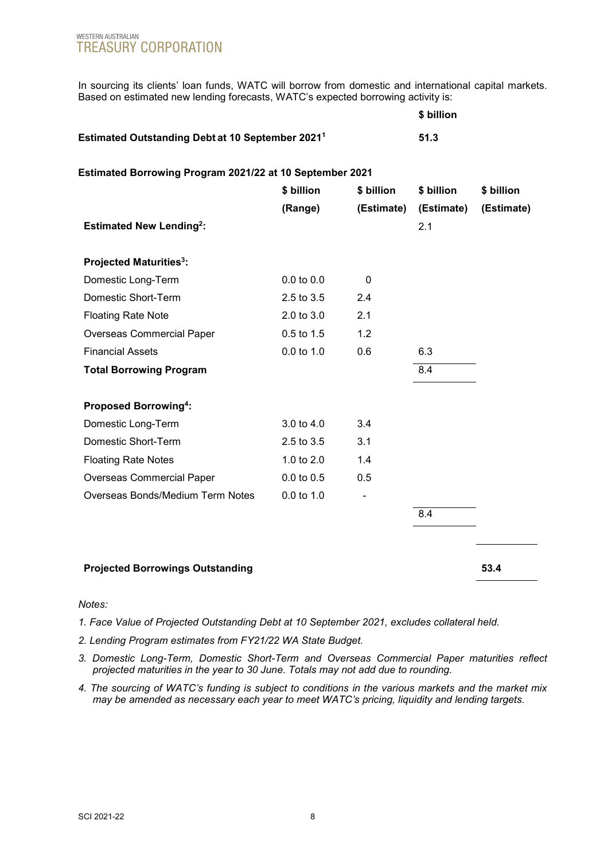In sourcing its clients' loan funds, WATC will borrow from domestic and international capital markets. Based on estimated new lending forecasts, WATC's expected borrowing activity is:

|                                                              | \$ billion |
|--------------------------------------------------------------|------------|
| Estimated Outstanding Debt at 10 September 2021 <sup>1</sup> | 51.3       |

#### **Estimated Borrowing Program 2021/22 at 10 September 2021**

|                                          | \$ billion     | \$ billion | \$ billion        | \$ billion |
|------------------------------------------|----------------|------------|-------------------|------------|
| <b>Estimated New Lending2:</b>           | (Range)        | (Estimate) | (Estimate)<br>2.1 | (Estimate) |
| <b>Projected Maturities<sup>3</sup>:</b> |                |            |                   |            |
| Domestic Long-Term                       | $0.0$ to $0.0$ | 0          |                   |            |
| Domestic Short-Term                      | 2.5 to 3.5     | 2.4        |                   |            |
| <b>Floating Rate Note</b>                | 2.0 to 3.0     | 2.1        |                   |            |
| <b>Overseas Commercial Paper</b>         | $0.5$ to $1.5$ | 1.2        |                   |            |
| <b>Financial Assets</b>                  | $0.0$ to $1.0$ | 0.6        | 6.3               |            |
| <b>Total Borrowing Program</b>           |                |            | 8.4               |            |
| <b>Proposed Borrowing4:</b>              |                |            |                   |            |
| Domestic Long-Term                       | 3.0 to 4.0     | 3.4        |                   |            |
| Domestic Short-Term                      | 2.5 to 3.5     | 3.1        |                   |            |
| <b>Floating Rate Notes</b>               | 1.0 to $2.0$   | 1.4        |                   |            |
| <b>Overseas Commercial Paper</b>         | $0.0$ to $0.5$ | 0.5        |                   |            |
| Overseas Bonds/Medium Term Notes         | $0.0$ to $1.0$ |            |                   |            |
|                                          |                |            | 8.4               |            |
|                                          |                |            |                   |            |
| <b>Projected Borrowings Outstanding</b>  |                |            |                   | 53.4       |

#### *Notes:*

- *1. Face Value of Projected Outstanding Debt at 10 September 2021, excludes collateral held.*
- *2. Lending Program estimates from FY21/22 WA State Budget.*
- *3. Domestic Long-Term, Domestic Short-Term and Overseas Commercial Paper maturities reflect projected maturities in the year to 30 June*. *Totals may not add due to rounding.*
- *4. The sourcing of WATC's funding is subject to conditions in the various markets and the market mix may be amended as necessary each year to meet WATC's pricing, liquidity and lending targets.*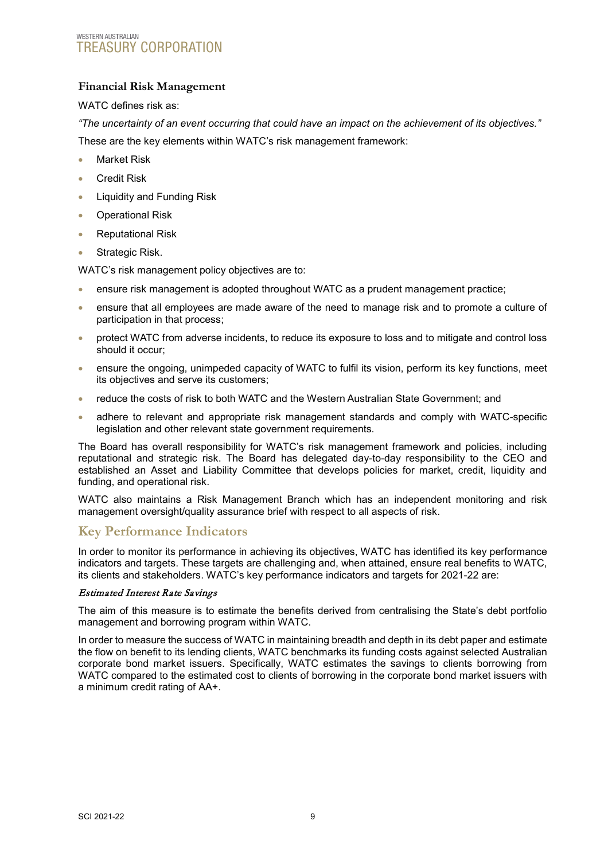### <span id="page-9-0"></span>**Financial Risk Management**

#### WATC defines risk as:

*"The uncertainty of an event occurring that could have an impact on the achievement of its objectives."*

These are the key elements within WATC's risk management framework:

- **Market Risk**
- Credit Risk
- Liquidity and Funding Risk
- Operational Risk
- Reputational Risk
- Strategic Risk.

WATC's risk management policy objectives are to:

- ensure risk management is adopted throughout WATC as a prudent management practice;
- ensure that all employees are made aware of the need to manage risk and to promote a culture of participation in that process;
- protect WATC from adverse incidents, to reduce its exposure to loss and to mitigate and control loss should it occur;
- ensure the ongoing, unimpeded capacity of WATC to fulfil its vision, perform its key functions, meet its objectives and serve its customers;
- reduce the costs of risk to both WATC and the Western Australian State Government; and
- adhere to relevant and appropriate risk management standards and comply with WATC-specific legislation and other relevant state government requirements.

The Board has overall responsibility for WATC's risk management framework and policies, including reputational and strategic risk. The Board has delegated day-to-day responsibility to the CEO and established an Asset and Liability Committee that develops policies for market, credit, liquidity and funding, and operational risk.

WATC also maintains a Risk Management Branch which has an independent monitoring and risk management oversight/quality assurance brief with respect to all aspects of risk.

# <span id="page-9-1"></span>**Key Performance Indicators**

In order to monitor its performance in achieving its objectives, WATC has identified its key performance indicators and targets. These targets are challenging and, when attained, ensure real benefits to WATC, its clients and stakeholders. WATC's key performance indicators and targets for 2021-22 are:

#### Estimated Interest Rate Savings

The aim of this measure is to estimate the benefits derived from centralising the State's debt portfolio management and borrowing program within WATC.

In order to measure the success of WATC in maintaining breadth and depth in its debt paper and estimate the flow on benefit to its lending clients, WATC benchmarks its funding costs against selected Australian corporate bond market issuers. Specifically, WATC estimates the savings to clients borrowing from WATC compared to the estimated cost to clients of borrowing in the corporate bond market issuers with a minimum credit rating of AA+.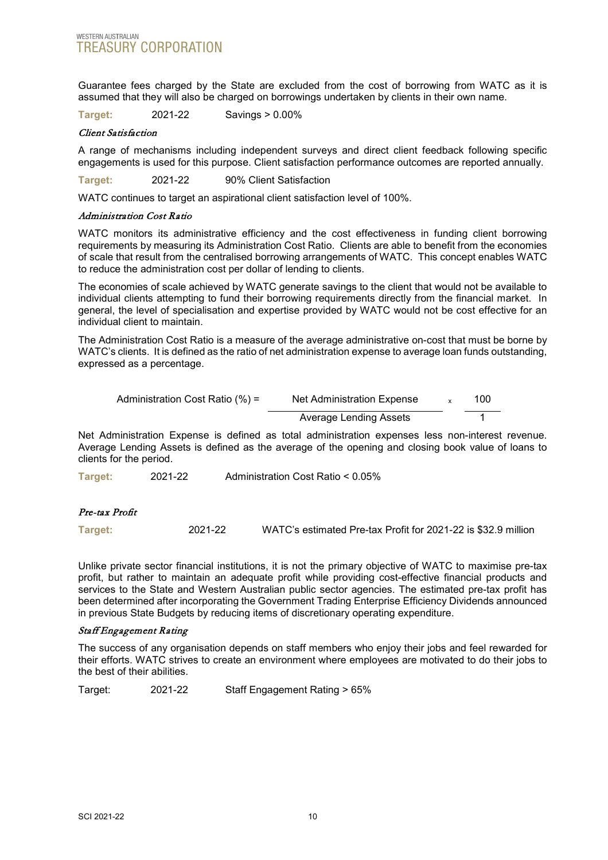Guarantee fees charged by the State are excluded from the cost of borrowing from WATC as it is assumed that they will also be charged on borrowings undertaken by clients in their own name.

**Target:** 2021-22 Savings > 0.00%

#### Client Satisfaction

A range of mechanisms including independent surveys and direct client feedback following specific engagements is used for this purpose. Client satisfaction performance outcomes are reported annually.

**Target:** 2021-22 90% Client Satisfaction

WATC continues to target an aspirational client satisfaction level of 100%.

#### Administration Cost Ratio

WATC monitors its administrative efficiency and the cost effectiveness in funding client borrowing requirements by measuring its Administration Cost Ratio. Clients are able to benefit from the economies of scale that result from the centralised borrowing arrangements of WATC. This concept enables WATC to reduce the administration cost per dollar of lending to clients.

The economies of scale achieved by WATC generate savings to the client that would not be available to individual clients attempting to fund their borrowing requirements directly from the financial market. In general, the level of specialisation and expertise provided by WATC would not be cost effective for an individual client to maintain.

The Administration Cost Ratio is a measure of the average administrative on-cost that must be borne by WATC's clients. It is defined as the ratio of net administration expense to average loan funds outstanding, expressed as a percentage.

| Administration Cost Ratio $(\%) =$ | Net Administration Expense | 100 |
|------------------------------------|----------------------------|-----|
|                                    | Average Lending Assets     |     |

Net Administration Expense is defined as total administration expenses less non-interest revenue. Average Lending Assets is defined as the average of the opening and closing book value of loans to clients for the period.

**Target:** 2021-22 Administration Cost Ratio < 0.05%

#### Pre-tax Profit

**Target:** 2021-22 WATC's estimated Pre-tax Profit for 2021-22 is \$32.9 million

Unlike private sector financial institutions, it is not the primary objective of WATC to maximise pre-tax profit, but rather to maintain an adequate profit while providing cost-effective financial products and services to the State and Western Australian public sector agencies. The estimated pre-tax profit has been determined after incorporating the Government Trading Enterprise Efficiency Dividends announced in previous State Budgets by reducing items of discretionary operating expenditure.

#### Staff Engagement Rating

The success of any organisation depends on staff members who enjoy their jobs and feel rewarded for their efforts. WATC strives to create an environment where employees are motivated to do their jobs to the best of their abilities.

Target: 2021-22 Staff Engagement Rating > 65%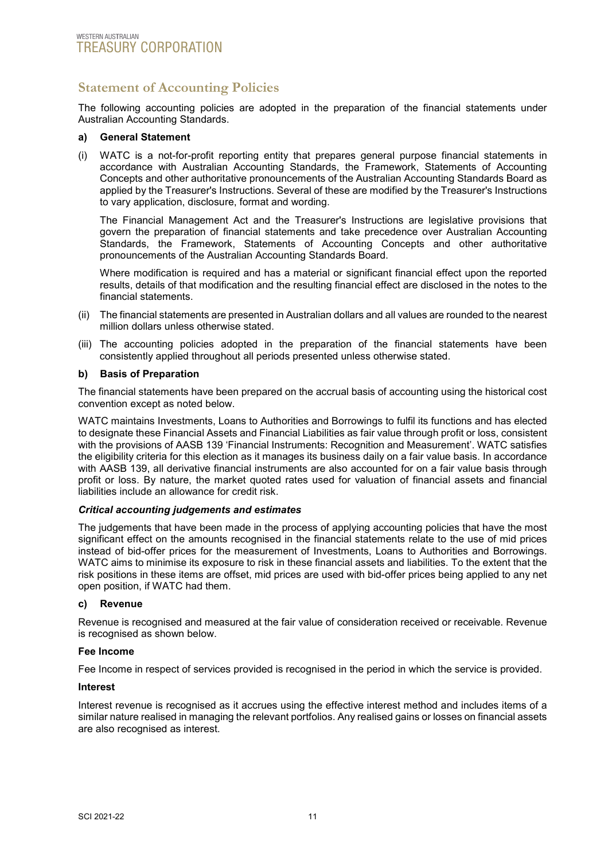# <span id="page-11-0"></span>**Statement of Accounting Policies**

The following accounting policies are adopted in the preparation of the financial statements under Australian Accounting Standards.

#### **a) General Statement**

(i) WATC is a not-for-profit reporting entity that prepares general purpose financial statements in accordance with Australian Accounting Standards, the Framework, Statements of Accounting Concepts and other authoritative pronouncements of the Australian Accounting Standards Board as applied by the Treasurer's Instructions. Several of these are modified by the Treasurer's Instructions to vary application, disclosure, format and wording.

The Financial Management Act and the Treasurer's Instructions are legislative provisions that govern the preparation of financial statements and take precedence over Australian Accounting Standards, the Framework, Statements of Accounting Concepts and other authoritative pronouncements of the Australian Accounting Standards Board.

Where modification is required and has a material or significant financial effect upon the reported results, details of that modification and the resulting financial effect are disclosed in the notes to the financial statements.

- (ii) The financial statements are presented in Australian dollars and all values are rounded to the nearest million dollars unless otherwise stated.
- (iii) The accounting policies adopted in the preparation of the financial statements have been consistently applied throughout all periods presented unless otherwise stated.

#### **b) Basis of Preparation**

The financial statements have been prepared on the accrual basis of accounting using the historical cost convention except as noted below.

WATC maintains Investments, Loans to Authorities and Borrowings to fulfil its functions and has elected to designate these Financial Assets and Financial Liabilities as fair value through profit or loss, consistent with the provisions of AASB 139 'Financial Instruments: Recognition and Measurement'. WATC satisfies the eligibility criteria for this election as it manages its business daily on a fair value basis. In accordance with AASB 139, all derivative financial instruments are also accounted for on a fair value basis through profit or loss. By nature, the market quoted rates used for valuation of financial assets and financial liabilities include an allowance for credit risk.

#### *Critical accounting judgements and estimates*

The judgements that have been made in the process of applying accounting policies that have the most significant effect on the amounts recognised in the financial statements relate to the use of mid prices instead of bid-offer prices for the measurement of Investments, Loans to Authorities and Borrowings. WATC aims to minimise its exposure to risk in these financial assets and liabilities. To the extent that the risk positions in these items are offset, mid prices are used with bid-offer prices being applied to any net open position, if WATC had them.

#### **c) Revenue**

Revenue is recognised and measured at the fair value of consideration received or receivable. Revenue is recognised as shown below.

#### **Fee Income**

Fee Income in respect of services provided is recognised in the period in which the service is provided.

#### **Interest**

Interest revenue is recognised as it accrues using the effective interest method and includes items of a similar nature realised in managing the relevant portfolios. Any realised gains or losses on financial assets are also recognised as interest.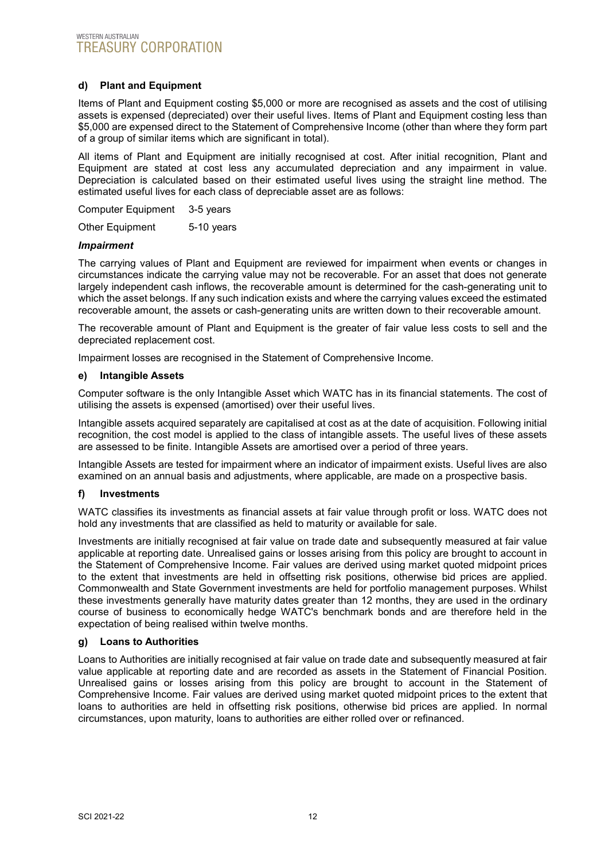#### **d) Plant and Equipment**

Items of Plant and Equipment costing \$5,000 or more are recognised as assets and the cost of utilising assets is expensed (depreciated) over their useful lives. Items of Plant and Equipment costing less than \$5,000 are expensed direct to the Statement of Comprehensive Income (other than where they form part of a group of similar items which are significant in total).

All items of Plant and Equipment are initially recognised at cost. After initial recognition, Plant and Equipment are stated at cost less any accumulated depreciation and any impairment in value. Depreciation is calculated based on their estimated useful lives using the straight line method. The estimated useful lives for each class of depreciable asset are as follows:

Computer Equipment 3-5 years

Other Equipment 5-10 years

#### *Impairment*

The carrying values of Plant and Equipment are reviewed for impairment when events or changes in circumstances indicate the carrying value may not be recoverable. For an asset that does not generate largely independent cash inflows, the recoverable amount is determined for the cash-generating unit to which the asset belongs. If any such indication exists and where the carrying values exceed the estimated recoverable amount, the assets or cash-generating units are written down to their recoverable amount.

The recoverable amount of Plant and Equipment is the greater of fair value less costs to sell and the depreciated replacement cost.

Impairment losses are recognised in the Statement of Comprehensive Income.

#### **e) Intangible Assets**

Computer software is the only Intangible Asset which WATC has in its financial statements. The cost of utilising the assets is expensed (amortised) over their useful lives.

Intangible assets acquired separately are capitalised at cost as at the date of acquisition. Following initial recognition, the cost model is applied to the class of intangible assets. The useful lives of these assets are assessed to be finite. Intangible Assets are amortised over a period of three years.

Intangible Assets are tested for impairment where an indicator of impairment exists. Useful lives are also examined on an annual basis and adjustments, where applicable, are made on a prospective basis.

#### **f) Investments**

WATC classifies its investments as financial assets at fair value through profit or loss. WATC does not hold any investments that are classified as held to maturity or available for sale.

Investments are initially recognised at fair value on trade date and subsequently measured at fair value applicable at reporting date. Unrealised gains or losses arising from this policy are brought to account in the Statement of Comprehensive Income. Fair values are derived using market quoted midpoint prices to the extent that investments are held in offsetting risk positions, otherwise bid prices are applied. Commonwealth and State Government investments are held for portfolio management purposes. Whilst these investments generally have maturity dates greater than 12 months, they are used in the ordinary course of business to economically hedge WATC's benchmark bonds and are therefore held in the expectation of being realised within twelve months.

#### **g) Loans to Authorities**

Loans to Authorities are initially recognised at fair value on trade date and subsequently measured at fair value applicable at reporting date and are recorded as assets in the Statement of Financial Position. Unrealised gains or losses arising from this policy are brought to account in the Statement of Comprehensive Income. Fair values are derived using market quoted midpoint prices to the extent that loans to authorities are held in offsetting risk positions, otherwise bid prices are applied. In normal circumstances, upon maturity, loans to authorities are either rolled over or refinanced.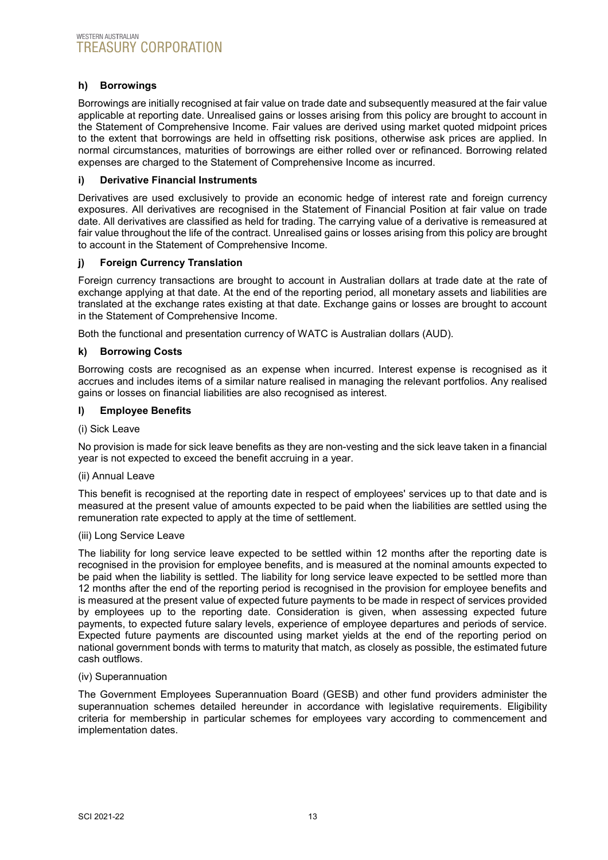#### **h) Borrowings**

Borrowings are initially recognised at fair value on trade date and subsequently measured at the fair value applicable at reporting date. Unrealised gains or losses arising from this policy are brought to account in the Statement of Comprehensive Income. Fair values are derived using market quoted midpoint prices to the extent that borrowings are held in offsetting risk positions, otherwise ask prices are applied. In normal circumstances, maturities of borrowings are either rolled over or refinanced. Borrowing related expenses are charged to the Statement of Comprehensive Income as incurred.

#### **i) Derivative Financial Instruments**

Derivatives are used exclusively to provide an economic hedge of interest rate and foreign currency exposures. All derivatives are recognised in the Statement of Financial Position at fair value on trade date. All derivatives are classified as held for trading. The carrying value of a derivative is remeasured at fair value throughout the life of the contract. Unrealised gains or losses arising from this policy are brought to account in the Statement of Comprehensive Income.

#### **j) Foreign Currency Translation**

Foreign currency transactions are brought to account in Australian dollars at trade date at the rate of exchange applying at that date. At the end of the reporting period, all monetary assets and liabilities are translated at the exchange rates existing at that date. Exchange gains or losses are brought to account in the Statement of Comprehensive Income.

Both the functional and presentation currency of WATC is Australian dollars (AUD).

#### **k) Borrowing Costs**

Borrowing costs are recognised as an expense when incurred. Interest expense is recognised as it accrues and includes items of a similar nature realised in managing the relevant portfolios. Any realised gains or losses on financial liabilities are also recognised as interest.

#### **l) Employee Benefits**

#### (i) Sick Leave

No provision is made for sick leave benefits as they are non-vesting and the sick leave taken in a financial year is not expected to exceed the benefit accruing in a year.

#### (ii) Annual Leave

This benefit is recognised at the reporting date in respect of employees' services up to that date and is measured at the present value of amounts expected to be paid when the liabilities are settled using the remuneration rate expected to apply at the time of settlement.

#### (iii) Long Service Leave

The liability for long service leave expected to be settled within 12 months after the reporting date is recognised in the provision for employee benefits, and is measured at the nominal amounts expected to be paid when the liability is settled. The liability for long service leave expected to be settled more than 12 months after the end of the reporting period is recognised in the provision for employee benefits and is measured at the present value of expected future payments to be made in respect of services provided by employees up to the reporting date. Consideration is given, when assessing expected future payments, to expected future salary levels, experience of employee departures and periods of service. Expected future payments are discounted using market yields at the end of the reporting period on national government bonds with terms to maturity that match, as closely as possible, the estimated future cash outflows.

#### (iv) Superannuation

The Government Employees Superannuation Board (GESB) and other fund providers administer the superannuation schemes detailed hereunder in accordance with legislative requirements. Eligibility criteria for membership in particular schemes for employees vary according to commencement and implementation dates.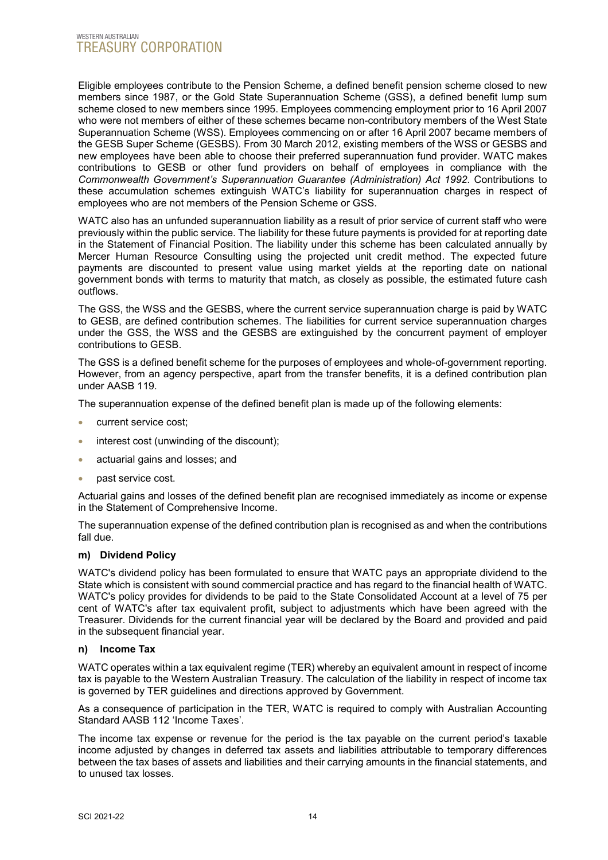Eligible employees contribute to the Pension Scheme, a defined benefit pension scheme closed to new members since 1987, or the Gold State Superannuation Scheme (GSS), a defined benefit lump sum scheme closed to new members since 1995. Employees commencing employment prior to 16 April 2007 who were not members of either of these schemes became non-contributory members of the West State Superannuation Scheme (WSS). Employees commencing on or after 16 April 2007 became members of the GESB Super Scheme (GESBS). From 30 March 2012, existing members of the WSS or GESBS and new employees have been able to choose their preferred superannuation fund provider. WATC makes contributions to GESB or other fund providers on behalf of employees in compliance with the *Commonwealth Government's Superannuation Guarantee (Administration) Act 1992*. Contributions to these accumulation schemes extinguish WATC's liability for superannuation charges in respect of employees who are not members of the Pension Scheme or GSS.

WATC also has an unfunded superannuation liability as a result of prior service of current staff who were previously within the public service. The liability for these future payments is provided for at reporting date in the Statement of Financial Position. The liability under this scheme has been calculated annually by Mercer Human Resource Consulting using the projected unit credit method. The expected future payments are discounted to present value using market yields at the reporting date on national government bonds with terms to maturity that match, as closely as possible, the estimated future cash outflows.

The GSS, the WSS and the GESBS, where the current service superannuation charge is paid by WATC to GESB, are defined contribution schemes. The liabilities for current service superannuation charges under the GSS, the WSS and the GESBS are extinguished by the concurrent payment of employer contributions to GESB.

The GSS is a defined benefit scheme for the purposes of employees and whole-of-government reporting. However, from an agency perspective, apart from the transfer benefits, it is a defined contribution plan under AASB 119.

The superannuation expense of the defined benefit plan is made up of the following elements:

- current service cost;
- interest cost (unwinding of the discount);
- actuarial gains and losses; and
- past service cost.

Actuarial gains and losses of the defined benefit plan are recognised immediately as income or expense in the Statement of Comprehensive Income.

The superannuation expense of the defined contribution plan is recognised as and when the contributions fall due.

#### **m) Dividend Policy**

WATC's dividend policy has been formulated to ensure that WATC pays an appropriate dividend to the State which is consistent with sound commercial practice and has regard to the financial health of WATC. WATC's policy provides for dividends to be paid to the State Consolidated Account at a level of 75 per cent of WATC's after tax equivalent profit, subject to adjustments which have been agreed with the Treasurer. Dividends for the current financial year will be declared by the Board and provided and paid in the subsequent financial year.

#### **n) Income Tax**

WATC operates within a tax equivalent regime (TER) whereby an equivalent amount in respect of income tax is payable to the Western Australian Treasury. The calculation of the liability in respect of income tax is governed by TER guidelines and directions approved by Government.

As a consequence of participation in the TER, WATC is required to comply with Australian Accounting Standard AASB 112 'Income Taxes'.

The income tax expense or revenue for the period is the tax payable on the current period's taxable income adjusted by changes in deferred tax assets and liabilities attributable to temporary differences between the tax bases of assets and liabilities and their carrying amounts in the financial statements, and to unused tax losses.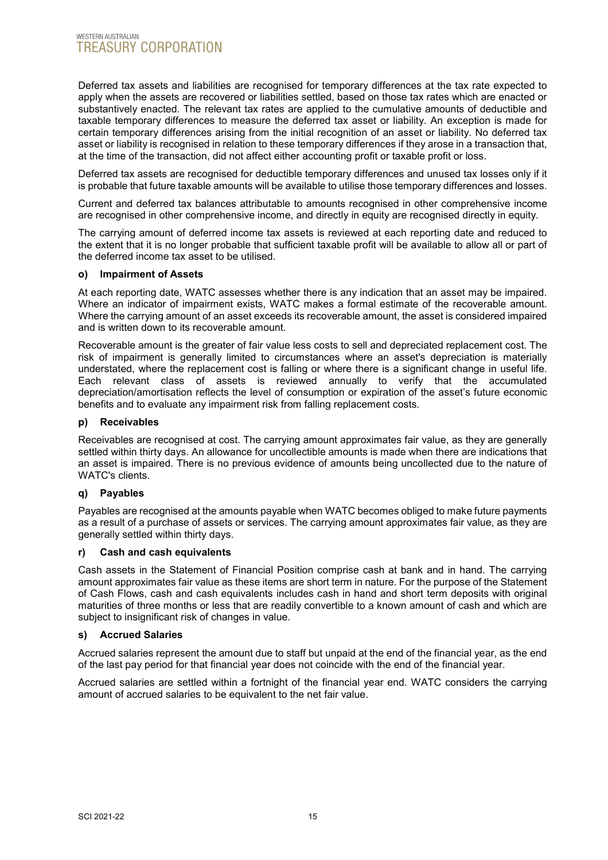Deferred tax assets and liabilities are recognised for temporary differences at the tax rate expected to apply when the assets are recovered or liabilities settled, based on those tax rates which are enacted or substantively enacted. The relevant tax rates are applied to the cumulative amounts of deductible and taxable temporary differences to measure the deferred tax asset or liability. An exception is made for certain temporary differences arising from the initial recognition of an asset or liability. No deferred tax asset or liability is recognised in relation to these temporary differences if they arose in a transaction that, at the time of the transaction, did not affect either accounting profit or taxable profit or loss.

Deferred tax assets are recognised for deductible temporary differences and unused tax losses only if it is probable that future taxable amounts will be available to utilise those temporary differences and losses.

Current and deferred tax balances attributable to amounts recognised in other comprehensive income are recognised in other comprehensive income, and directly in equity are recognised directly in equity.

The carrying amount of deferred income tax assets is reviewed at each reporting date and reduced to the extent that it is no longer probable that sufficient taxable profit will be available to allow all or part of the deferred income tax asset to be utilised.

#### **o) Impairment of Assets**

At each reporting date, WATC assesses whether there is any indication that an asset may be impaired. Where an indicator of impairment exists, WATC makes a formal estimate of the recoverable amount. Where the carrying amount of an asset exceeds its recoverable amount, the asset is considered impaired and is written down to its recoverable amount.

Recoverable amount is the greater of fair value less costs to sell and depreciated replacement cost. The risk of impairment is generally limited to circumstances where an asset's depreciation is materially understated, where the replacement cost is falling or where there is a significant change in useful life. Each relevant class of assets is reviewed annually to verify that the accumulated depreciation/amortisation reflects the level of consumption or expiration of the asset's future economic benefits and to evaluate any impairment risk from falling replacement costs.

#### **p) Receivables**

Receivables are recognised at cost. The carrying amount approximates fair value, as they are generally settled within thirty days. An allowance for uncollectible amounts is made when there are indications that an asset is impaired. There is no previous evidence of amounts being uncollected due to the nature of WATC's clients.

#### **q) Payables**

Payables are recognised at the amounts payable when WATC becomes obliged to make future payments as a result of a purchase of assets or services. The carrying amount approximates fair value, as they are generally settled within thirty days.

#### **r) Cash and cash equivalents**

Cash assets in the Statement of Financial Position comprise cash at bank and in hand. The carrying amount approximates fair value as these items are short term in nature. For the purpose of the Statement of Cash Flows, cash and cash equivalents includes cash in hand and short term deposits with original maturities of three months or less that are readily convertible to a known amount of cash and which are subject to insignificant risk of changes in value.

#### **s) Accrued Salaries**

Accrued salaries represent the amount due to staff but unpaid at the end of the financial year, as the end of the last pay period for that financial year does not coincide with the end of the financial year.

Accrued salaries are settled within a fortnight of the financial year end. WATC considers the carrying amount of accrued salaries to be equivalent to the net fair value.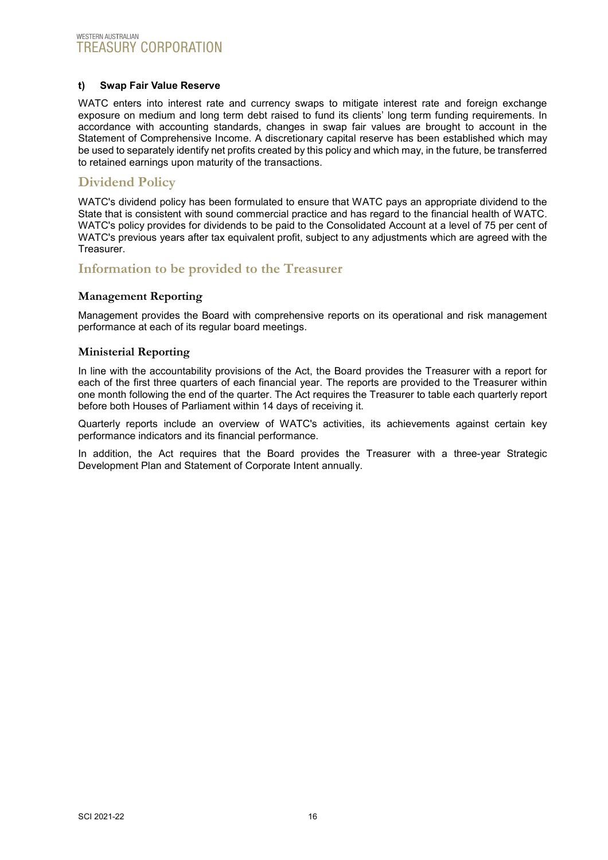#### **t) Swap Fair Value Reserve**

WATC enters into interest rate and currency swaps to mitigate interest rate and foreign exchange exposure on medium and long term debt raised to fund its clients' long term funding requirements. In accordance with accounting standards, changes in swap fair values are brought to account in the Statement of Comprehensive Income. A discretionary capital reserve has been established which may be used to separately identify net profits created by this policy and which may, in the future, be transferred to retained earnings upon maturity of the transactions.

### <span id="page-16-0"></span>**Dividend Policy**

WATC's dividend policy has been formulated to ensure that WATC pays an appropriate dividend to the State that is consistent with sound commercial practice and has regard to the financial health of WATC. WATC's policy provides for dividends to be paid to the Consolidated Account at a level of 75 per cent of WATC's previous years after tax equivalent profit, subject to any adjustments which are agreed with the Treasurer.

### <span id="page-16-1"></span>**Information to be provided to the Treasurer**

#### <span id="page-16-2"></span>**Management Reporting**

Management provides the Board with comprehensive reports on its operational and risk management performance at each of its regular board meetings.

#### <span id="page-16-3"></span>**Ministerial Reporting**

In line with the accountability provisions of the Act, the Board provides the Treasurer with a report for each of the first three quarters of each financial year. The reports are provided to the Treasurer within one month following the end of the quarter. The Act requires the Treasurer to table each quarterly report before both Houses of Parliament within 14 days of receiving it.

Quarterly reports include an overview of WATC's activities, its achievements against certain key performance indicators and its financial performance.

In addition, the Act requires that the Board provides the Treasurer with a three-year Strategic Development Plan and Statement of Corporate Intent annually.